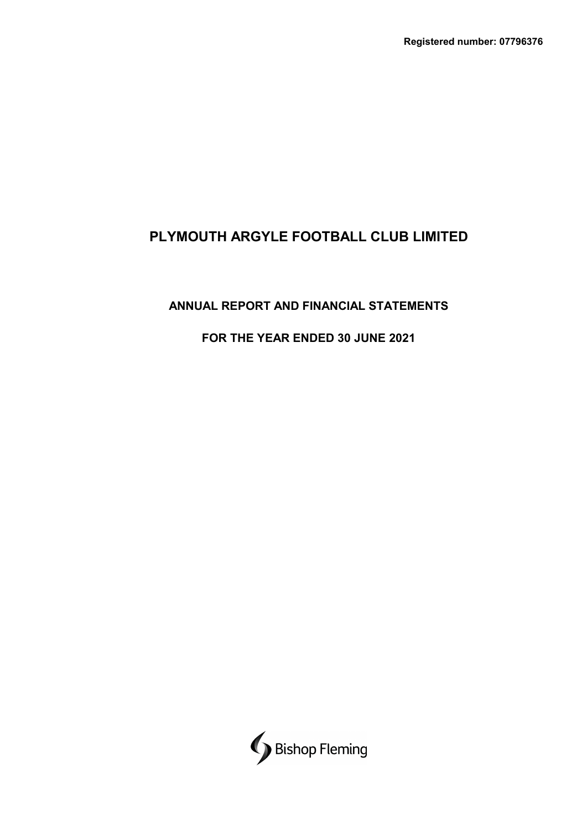# **ANNUAL REPORT AND FINANCIAL STATEMENTS**

# **FOR THE YEAR ENDED 30 JUNE 2021**

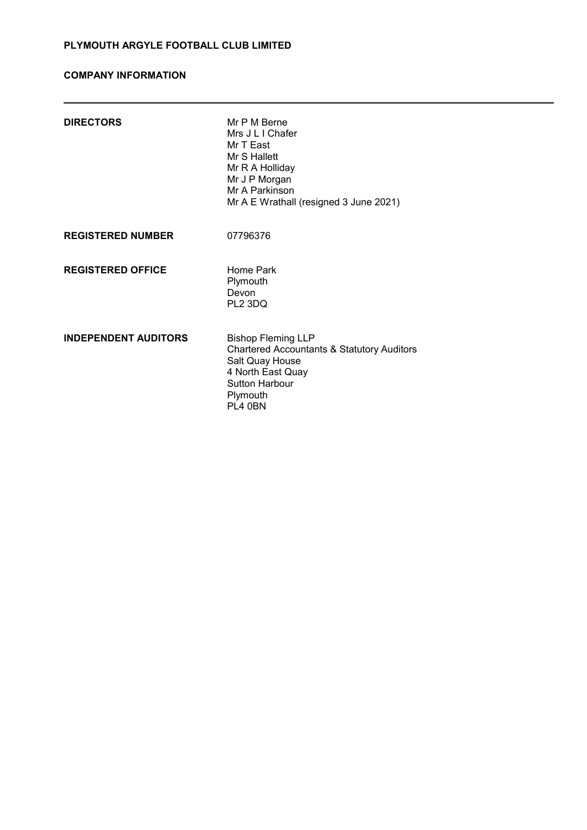## **COMPANY INFORMATION**

| <b>DIRECTORS</b>            | Mr P M Berne<br>Mrs J L I Chafer<br>Mr T East<br>Mr S Hallett<br>Mr R A Holliday<br>Mr J P Morgan<br>Mr A Parkinson<br>Mr A E Wrathall (resigned 3 June 2021)              |
|-----------------------------|----------------------------------------------------------------------------------------------------------------------------------------------------------------------------|
| <b>REGISTERED NUMBER</b>    | 07796376                                                                                                                                                                   |
| <b>REGISTERED OFFICE</b>    | Home Park<br>Plymouth<br>Devon<br>PL2 3DQ                                                                                                                                  |
| <b>INDEPENDENT AUDITORS</b> | <b>Bishop Fleming LLP</b><br><b>Chartered Accountants &amp; Statutory Auditors</b><br>Salt Quay House<br>4 North East Quay<br><b>Sutton Harbour</b><br>Plymouth<br>PL4 0BN |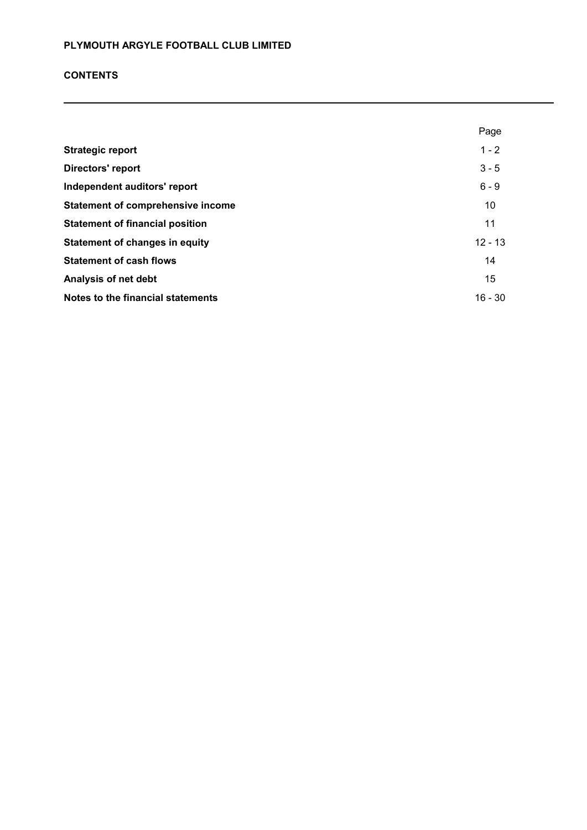## **CONTENTS**

|                                          | Page      |
|------------------------------------------|-----------|
| <b>Strategic report</b>                  | $1 - 2$   |
| Directors' report                        | $3 - 5$   |
| Independent auditors' report             | $6 - 9$   |
| <b>Statement of comprehensive income</b> | 10        |
| <b>Statement of financial position</b>   | 11        |
| <b>Statement of changes in equity</b>    | $12 - 13$ |
| <b>Statement of cash flows</b>           | 14        |
| Analysis of net debt                     | 15        |
| Notes to the financial statements        | $16 - 30$ |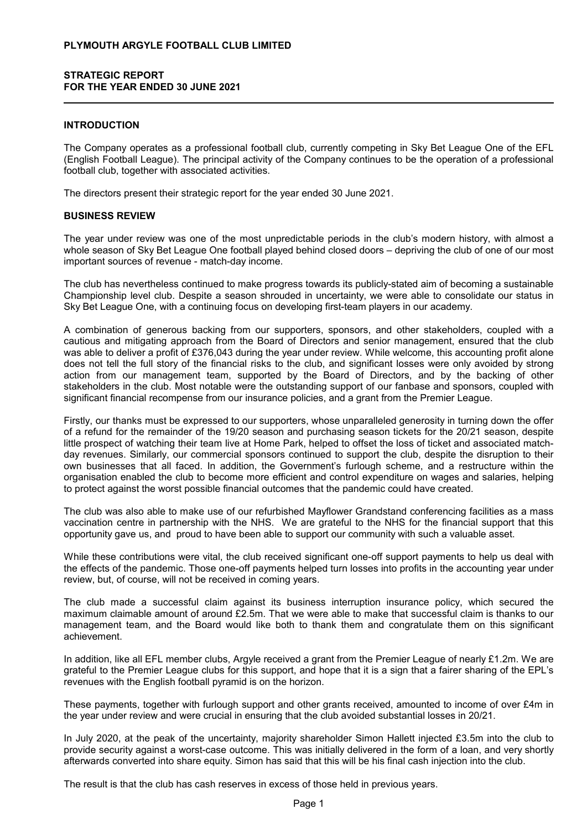## **STRATEGIC REPORT FOR THE YEAR ENDED 30 JUNE 2021**

## **INTRODUCTION**

The Company operates as a professional football club, currently competing in Sky Bet League One of the EFL (English Football League). The principal activity of the Company continues to be the operation of a professional football club, together with associated activities.

The directors present their strategic report for the year ended 30 June 2021.

#### **BUSINESS REVIEW**

The year under review was one of the most unpredictable periods in the club's modern history, with almost a whole season of Sky Bet League One football played behind closed doors – depriving the club of one of our most important sources of revenue - match-day income.

The club has nevertheless continued to make progress towards its publicly-stated aim of becoming a sustainable Championship level club. Despite a season shrouded in uncertainty, we were able to consolidate our status in Sky Bet League One, with a continuing focus on developing first-team players in our academy.

A combination of generous backing from our supporters, sponsors, and other stakeholders, coupled with a cautious and mitigating approach from the Board of Directors and senior management, ensured that the club was able to deliver a profit of £376,043 during the year under review. While welcome, this accounting profit alone does not tell the full story of the financial risks to the club, and significant losses were only avoided by strong action from our management team, supported by the Board of Directors, and by the backing of other stakeholders in the club. Most notable were the outstanding support of our fanbase and sponsors, coupled with significant financial recompense from our insurance policies, and a grant from the Premier League.

Firstly, our thanks must be expressed to our supporters, whose unparalleled generosity in turning down the offer of a refund for the remainder of the 19/20 season and purchasing season tickets for the 20/21 season, despite little prospect of watching their team live at Home Park, helped to offset the loss of ticket and associated matchday revenues. Similarly, our commercial sponsors continued to support the club, despite the disruption to their own businesses that all faced. In addition, the Government's furlough scheme, and a restructure within the organisation enabled the club to become more efficient and control expenditure on wages and salaries, helping to protect against the worst possible financial outcomes that the pandemic could have created.

The club was also able to make use of our refurbished Mayflower Grandstand conferencing facilities as a mass vaccination centre in partnership with the NHS. We are grateful to the NHS for the financial support that this opportunity gave us, and proud to have been able to support our community with such a valuable asset.

While these contributions were vital, the club received significant one-off support payments to help us deal with the effects of the pandemic. Those one-off payments helped turn losses into profits in the accounting year under review, but, of course, will not be received in coming years.

The club made a successful claim against its business interruption insurance policy, which secured the maximum claimable amount of around £2.5m. That we were able to make that successful claim is thanks to our management team, and the Board would like both to thank them and congratulate them on this significant achievement.

In addition, like all EFL member clubs, Argyle received a grant from the Premier League of nearly £1.2m. We are grateful to the Premier League clubs for this support, and hope that it is a sign that a fairer sharing of the EPL's revenues with the English football pyramid is on the horizon.

These payments, together with furlough support and other grants received, amounted to income of over £4m in the year under review and were crucial in ensuring that the club avoided substantial losses in 20/21.

In July 2020, at the peak of the uncertainty, majority shareholder Simon Hallett injected £3.5m into the club to provide security against a worst-case outcome. This was initially delivered in the form of a loan, and very shortly afterwards converted into share equity. Simon has said that this will be his final cash injection into the club.

The result is that the club has cash reserves in excess of those held in previous years.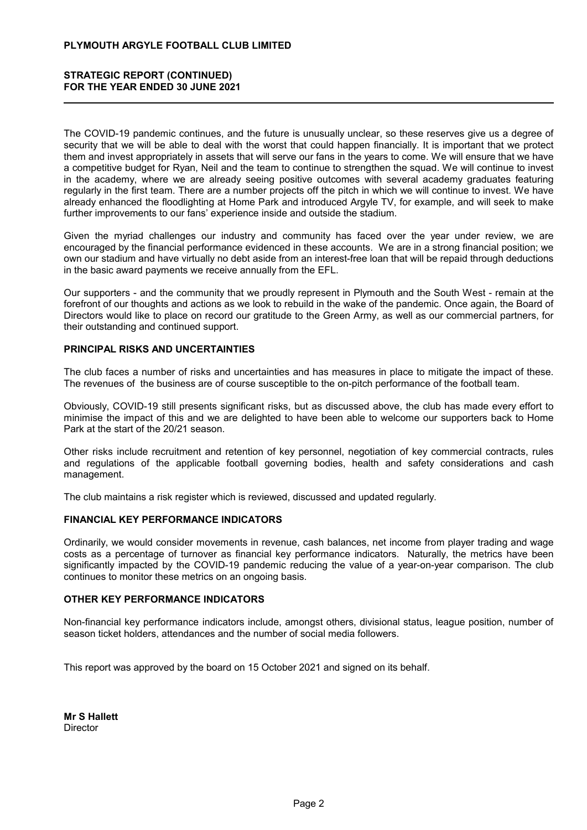#### **STRATEGIC REPORT (CONTINUED) FOR THE YEAR ENDED 30 JUNE 2021**

The COVID-19 pandemic continues, and the future is unusually unclear, so these reserves give us a degree of security that we will be able to deal with the worst that could happen financially. It is important that we protect them and invest appropriately in assets that will serve our fans in the years to come. We will ensure that we have a competitive budget for Ryan, Neil and the team to continue to strengthen the squad. We will continue to invest in the academy, where we are already seeing positive outcomes with several academy graduates featuring regularly in the first team. There are a number projects off the pitch in which we will continue to invest. We have already enhanced the floodlighting at Home Park and introduced Argyle TV, for example, and will seek to make further improvements to our fans' experience inside and outside the stadium.

Given the myriad challenges our industry and community has faced over the year under review, we are encouraged by the financial performance evidenced in these accounts. We are in a strong financial position; we own our stadium and have virtually no debt aside from an interest-free loan that will be repaid through deductions in the basic award payments we receive annually from the EFL.

Our supporters - and the community that we proudly represent in Plymouth and the South West - remain at the forefront of our thoughts and actions as we look to rebuild in the wake of the pandemic. Once again, the Board of Directors would like to place on record our gratitude to the Green Army, as well as our commercial partners, for their outstanding and continued support.

## **PRINCIPAL RISKS AND UNCERTAINTIES**

The club faces a number of risks and uncertainties and has measures in place to mitigate the impact of these. The revenues of the business are of course susceptible to the on-pitch performance of the football team.

Obviously, COVID-19 still presents significant risks, but as discussed above, the club has made every effort to minimise the impact of this and we are delighted to have been able to welcome our supporters back to Home Park at the start of the 20/21 season.

Other risks include recruitment and retention of key personnel, negotiation of key commercial contracts, rules and regulations of the applicable football governing bodies, health and safety considerations and cash management.

The club maintains a risk register which is reviewed, discussed and updated regularly.

#### **FINANCIAL KEY PERFORMANCE INDICATORS**

Ordinarily, we would consider movements in revenue, cash balances, net income from player trading and wage costs as a percentage of turnover as financial key performance indicators. Naturally, the metrics have been significantly impacted by the COVID-19 pandemic reducing the value of a year-on-year comparison. The club continues to monitor these metrics on an ongoing basis.

## **OTHER KEY PERFORMANCE INDICATORS**

Non-financial key performance indicators include, amongst others, divisional status, league position, number of season ticket holders, attendances and the number of social media followers.

This report was approved by the board on 15 October 2021 and signed on its behalf.

**Mr S Hallett Director**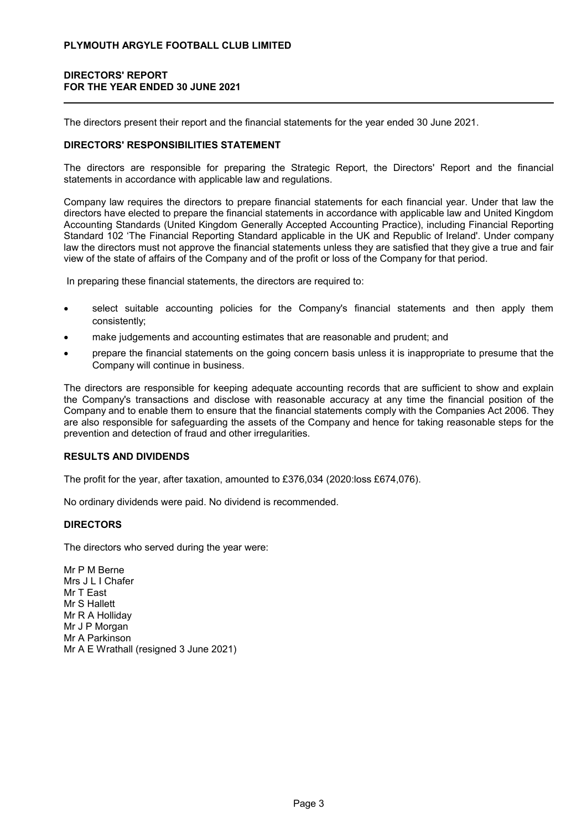## **DIRECTORS' REPORT FOR THE YEAR ENDED 30 JUNE 2021**

The directors present their report and the financial statements for the year ended 30 June 2021.

#### **DIRECTORS' RESPONSIBILITIES STATEMENT**

The directors are responsible for preparing the Strategic Report, the Directors' Report and the financial statements in accordance with applicable law and regulations.

Company law requires the directors to prepare financial statements for each financial year. Under that law the directors have elected to prepare the financial statements in accordance with applicable law and United Kingdom Accounting Standards (United Kingdom Generally Accepted Accounting Practice), including Financial Reporting Standard 102 'The Financial Reporting Standard applicable in the UK and Republic of Ireland'. Under company law the directors must not approve the financial statements unless they are satisfied that they give a true and fair view of the state of affairs of the Company and of the profit or loss of the Company for that period.

In preparing these financial statements, the directors are required to:

- select suitable accounting policies for the Company's financial statements and then apply them consistently;
- make judgements and accounting estimates that are reasonable and prudent; and
- prepare the financial statements on the going concern basis unless it is inappropriate to presume that the Company will continue in business.

The directors are responsible for keeping adequate accounting records that are sufficient to show and explain the Company's transactions and disclose with reasonable accuracy at any time the financial position of the Company and to enable them to ensure that the financial statements comply with the Companies Act 2006. They are also responsible for safeguarding the assets of the Company and hence for taking reasonable steps for the prevention and detection of fraud and other irregularities.

#### **RESULTS AND DIVIDENDS**

The profit for the year, after taxation, amounted to £376,034 (2020:loss £674,076).

No ordinary dividends were paid. No dividend is recommended.

## **DIRECTORS**

The directors who served during the year were:

Mr P M Berne Mrs J L I Chafer Mr T East Mr S Hallett Mr R A Holliday Mr J P Morgan Mr A Parkinson Mr A E Wrathall (resigned 3 June 2021)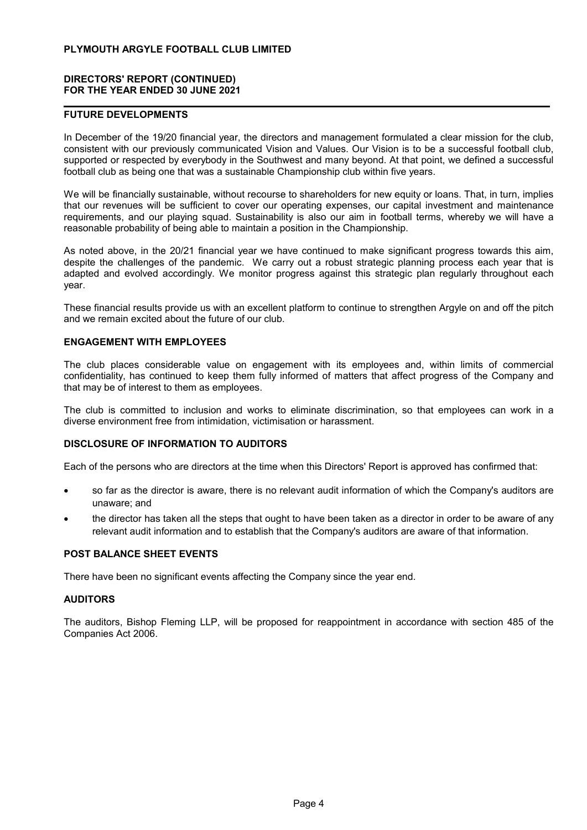## **DIRECTORS' REPORT (CONTINUED) FOR THE YEAR ENDED 30 JUNE 2021**

## **FUTURE DEVELOPMENTS**

In December of the 19/20 financial year, the directors and management formulated a clear mission for the club, consistent with our previously communicated Vision and Values. Our Vision is to be a successful football club, supported or respected by everybody in the Southwest and many beyond. At that point, we defined a successful football club as being one that was a sustainable Championship club within five years.

We will be financially sustainable, without recourse to shareholders for new equity or loans. That, in turn, implies that our revenues will be sufficient to cover our operating expenses, our capital investment and maintenance requirements, and our playing squad. Sustainability is also our aim in football terms, whereby we will have a reasonable probability of being able to maintain a position in the Championship.

As noted above, in the 20/21 financial year we have continued to make significant progress towards this aim, despite the challenges of the pandemic. We carry out a robust strategic planning process each year that is adapted and evolved accordingly. We monitor progress against this strategic plan regularly throughout each year.

These financial results provide us with an excellent platform to continue to strengthen Argyle on and off the pitch and we remain excited about the future of our club.

## **ENGAGEMENT WITH EMPLOYEES**

The club places considerable value on engagement with its employees and, within limits of commercial confidentiality, has continued to keep them fully informed of matters that affect progress of the Company and that may be of interest to them as employees.

The club is committed to inclusion and works to eliminate discrimination, so that employees can work in a diverse environment free from intimidation, victimisation or harassment.

## **DISCLOSURE OF INFORMATION TO AUDITORS**

Each of the persons who are directors at the time when this Directors' Report is approved has confirmed that:

- so far as the director is aware, there is no relevant audit information of which the Company's auditors are unaware; and
- the director has taken all the steps that ought to have been taken as a director in order to be aware of any relevant audit information and to establish that the Company's auditors are aware of that information.

## **POST BALANCE SHEET EVENTS**

There have been no significant events affecting the Company since the year end.

## **AUDITORS**

The auditors, Bishop Fleming LLP, will be proposed for reappointment in accordance with section 485 of the Companies Act 2006.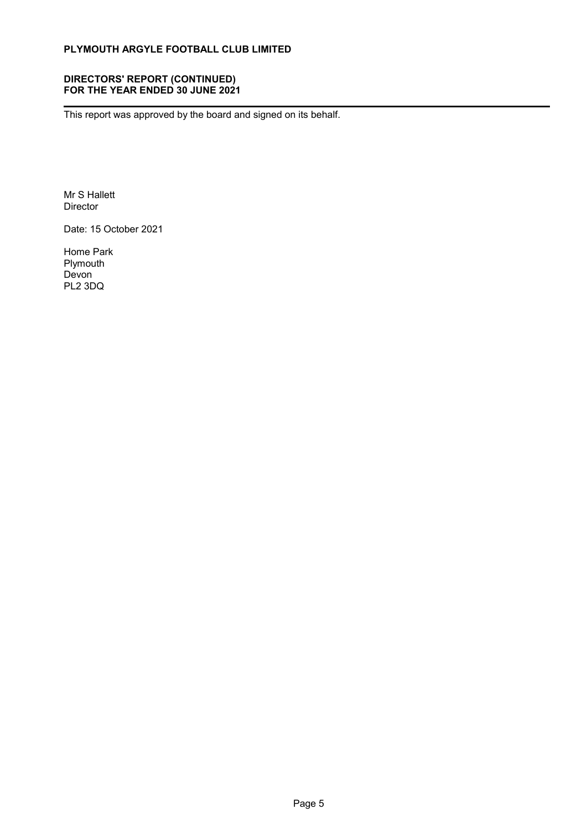## **DIRECTORS' REPORT (CONTINUED) FOR THE YEAR ENDED 30 JUNE 2021**

This report was approved by the board and signed on its behalf.

Mr S Hallett Director

Date: 15 October 2021

Home Park Plymouth Devon PL2 3DQ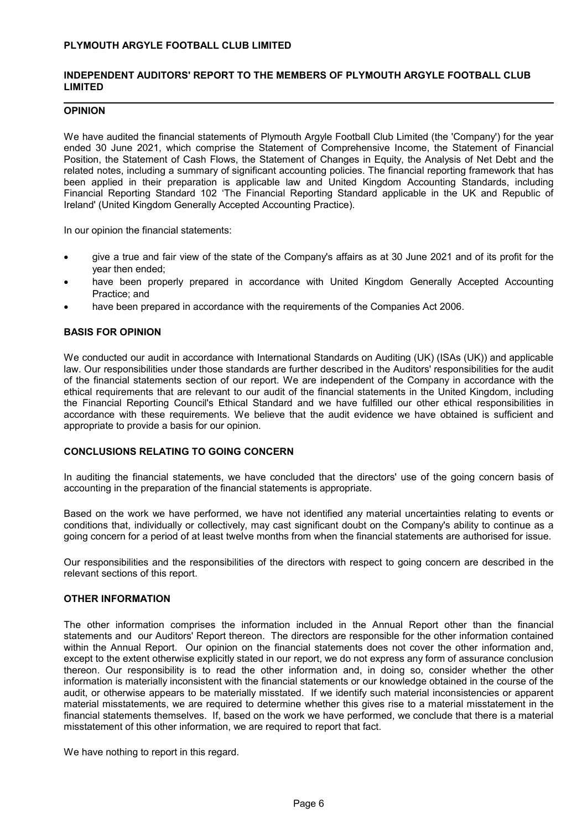## **INDEPENDENT AUDITORS' REPORT TO THE MEMBERS OF PLYMOUTH ARGYLE FOOTBALL CLUB LIMITED**

#### **OPINION**

We have audited the financial statements of Plymouth Argyle Football Club Limited (the 'Company') for the year ended 30 June 2021, which comprise the Statement of Comprehensive Income, the Statement of Financial Position, the Statement of Cash Flows, the Statement of Changes in Equity, the Analysis of Net Debt and the related notes, including a summary of significant accounting policies. The financial reporting framework that has been applied in their preparation is applicable law and United Kingdom Accounting Standards, including Financial Reporting Standard 102 'The Financial Reporting Standard applicable in the UK and Republic of Ireland' (United Kingdom Generally Accepted Accounting Practice).

In our opinion the financial statements:

- give a true and fair view of the state of the Company's affairs as at 30 June 2021 and of its profit for the year then ended;
- have been properly prepared in accordance with United Kingdom Generally Accepted Accounting Practice; and
- have been prepared in accordance with the requirements of the Companies Act 2006.

## **BASIS FOR OPINION**

We conducted our audit in accordance with International Standards on Auditing (UK) (ISAs (UK)) and applicable law. Our responsibilities under those standards are further described in the Auditors' responsibilities for the audit of the financial statements section of our report. We are independent of the Company in accordance with the ethical requirements that are relevant to our audit of the financial statements in the United Kingdom, including the Financial Reporting Council's Ethical Standard and we have fulfilled our other ethical responsibilities in accordance with these requirements. We believe that the audit evidence we have obtained is sufficient and appropriate to provide a basis for our opinion.

## **CONCLUSIONS RELATING TO GOING CONCERN**

In auditing the financial statements, we have concluded that the directors' use of the going concern basis of accounting in the preparation of the financial statements is appropriate.

Based on the work we have performed, we have not identified any material uncertainties relating to events or conditions that, individually or collectively, may cast significant doubt on the Company's ability to continue as a going concern for a period of at least twelve months from when the financial statements are authorised for issue.

Our responsibilities and the responsibilities of the directors with respect to going concern are described in the relevant sections of this report.

## **OTHER INFORMATION**

The other information comprises the information included in the Annual Report other than the financial statements and our Auditors' Report thereon. The directors are responsible for the other information contained within the Annual Report. Our opinion on the financial statements does not cover the other information and, except to the extent otherwise explicitly stated in our report, we do not express any form of assurance conclusion thereon. Our responsibility is to read the other information and, in doing so, consider whether the other information is materially inconsistent with the financial statements or our knowledge obtained in the course of the audit, or otherwise appears to be materially misstated. If we identify such material inconsistencies or apparent material misstatements, we are required to determine whether this gives rise to a material misstatement in the financial statements themselves. If, based on the work we have performed, we conclude that there is a material misstatement of this other information, we are required to report that fact.

We have nothing to report in this regard.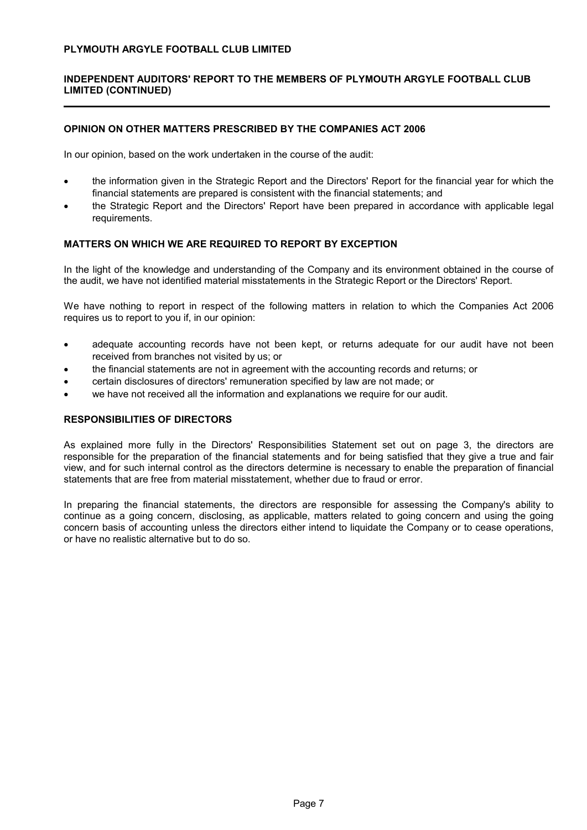## **INDEPENDENT AUDITORS' REPORT TO THE MEMBERS OF PLYMOUTH ARGYLE FOOTBALL CLUB LIMITED (CONTINUED)**

## **OPINION ON OTHER MATTERS PRESCRIBED BY THE COMPANIES ACT 2006**

In our opinion, based on the work undertaken in the course of the audit:

- the information given in the Strategic Report and the Directors' Report for the financial year for which the financial statements are prepared is consistent with the financial statements; and
- the Strategic Report and the Directors' Report have been prepared in accordance with applicable legal requirements.

#### **MATTERS ON WHICH WE ARE REQUIRED TO REPORT BY EXCEPTION**

In the light of the knowledge and understanding of the Company and its environment obtained in the course of the audit, we have not identified material misstatements in the Strategic Report or the Directors' Report.

We have nothing to report in respect of the following matters in relation to which the Companies Act 2006 requires us to report to you if, in our opinion:

- adequate accounting records have not been kept, or returns adequate for our audit have not been received from branches not visited by us; or
- the financial statements are not in agreement with the accounting records and returns; or
- certain disclosures of directors' remuneration specified by law are not made; or
- we have not received all the information and explanations we require for our audit.

### **RESPONSIBILITIES OF DIRECTORS**

As explained more fully in the Directors' Responsibilities Statement set out on page 3, the directors are responsible for the preparation of the financial statements and for being satisfied that they give a true and fair view, and for such internal control as the directors determine is necessary to enable the preparation of financial statements that are free from material misstatement, whether due to fraud or error.

In preparing the financial statements, the directors are responsible for assessing the Company's ability to continue as a going concern, disclosing, as applicable, matters related to going concern and using the going concern basis of accounting unless the directors either intend to liquidate the Company or to cease operations, or have no realistic alternative but to do so.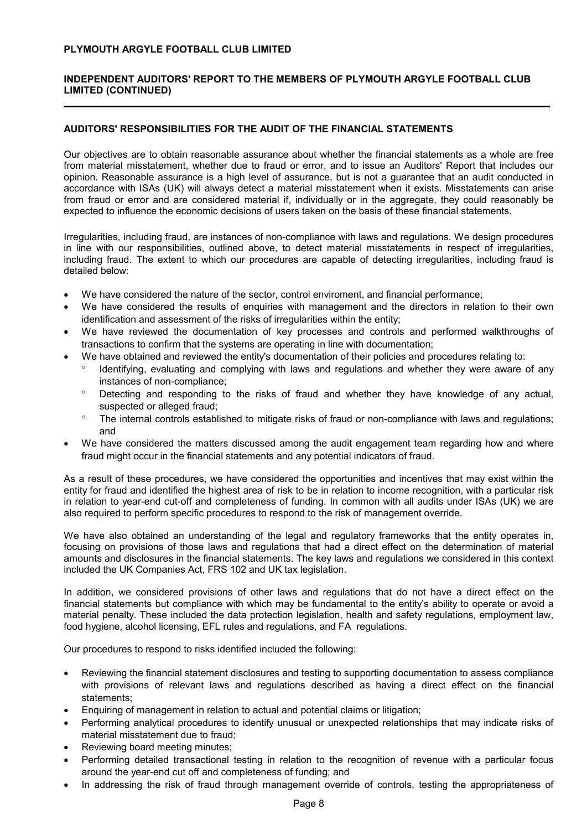## **INDEPENDENT AUDITORS' REPORT TO THE MEMBERS OF PLYMOUTH ARGYLE FOOTBALL CLUB LIMITED (CONTINUED)**

## **AUDITORS' RESPONSIBILITIES FOR THE AUDIT OF THE FINANCIAL STATEMENTS**

Our objectives are to obtain reasonable assurance about whether the financial statements as a whole are free from material misstatement, whether due to fraud or error, and to issue an Auditors' Report that includes our opinion. Reasonable assurance is a high level of assurance, but is not a guarantee that an audit conducted in accordance with ISAs (UK) will always detect a material misstatement when it exists. Misstatements can arise from fraud or error and are considered material if, individually or in the aggregate, they could reasonably be expected to influence the economic decisions of users taken on the basis of these financial statements.

Irregularities, including fraud, are instances of non-compliance with laws and regulations. We design procedures in line with our responsibilities, outlined above, to detect material misstatements in respect of irregularities, including fraud. The extent to which our procedures are capable of detecting irregularities, including fraud is detailed below:

- We have considered the nature of the sector, control enviroment, and financial performance;
- We have considered the results of enquiries with management and the directors in relation to their own identification and assessment of the risks of irregularities within the entity;
- We have reviewed the documentation of key processes and controls and performed walkthroughs of transactions to confirm that the systems are operating in line with documentation;
- We have obtained and reviewed the entity's documentation of their policies and procedures relating to:
	- Identifying, evaluating and complying with laws and regulations and whether they were aware of any instances of non-compliance;
	- Detecting and responding to the risks of fraud and whether they have knowledge of any actual, suspected or alleged fraud;
	- <sup>o</sup> The internal controls established to mitigate risks of fraud or non-compliance with laws and regulations; and
- We have considered the matters discussed among the audit engagement team regarding how and where fraud might occur in the financial statements and any potential indicators of fraud.

As a result of these procedures, we have considered the opportunities and incentives that may exist within the entity for fraud and identified the highest area of risk to be in relation to income recognition, with a particular risk in relation to year-end cut-off and completeness of funding. In common with all audits under ISAs (UK) we are also required to perform specific procedures to respond to the risk of management override.

We have also obtained an understanding of the legal and regulatory frameworks that the entity operates in, focusing on provisions of those laws and regulations that had a direct effect on the determination of material amounts and disclosures in the financial statements. The key laws and regulations we considered in this context included the UK Companies Act, FRS 102 and UK tax legislation.

In addition, we considered provisions of other laws and regulations that do not have a direct effect on the financial statements but compliance with which may be fundamental to the entity's ability to operate or avoid a material penalty. These included the data protection legislation, health and safety regulations, employment law, food hygiene, alcohol licensing, EFL rules and regulations, and FA regulations.

Our procedures to respond to risks identified included the following:

- Reviewing the financial statement disclosures and testing to supporting documentation to assess compliance with provisions of relevant laws and regulations described as having a direct effect on the financial statements;
- Enquiring of management in relation to actual and potential claims or litigation;
- Performing analytical procedures to identify unusual or unexpected relationships that may indicate risks of material misstatement due to fraud;
- Reviewing board meeting minutes;
- Performing detailed transactional testing in relation to the recognition of revenue with a particular focus around the year-end cut off and completeness of funding; and
- In addressing the risk of fraud through management override of controls, testing the appropriateness of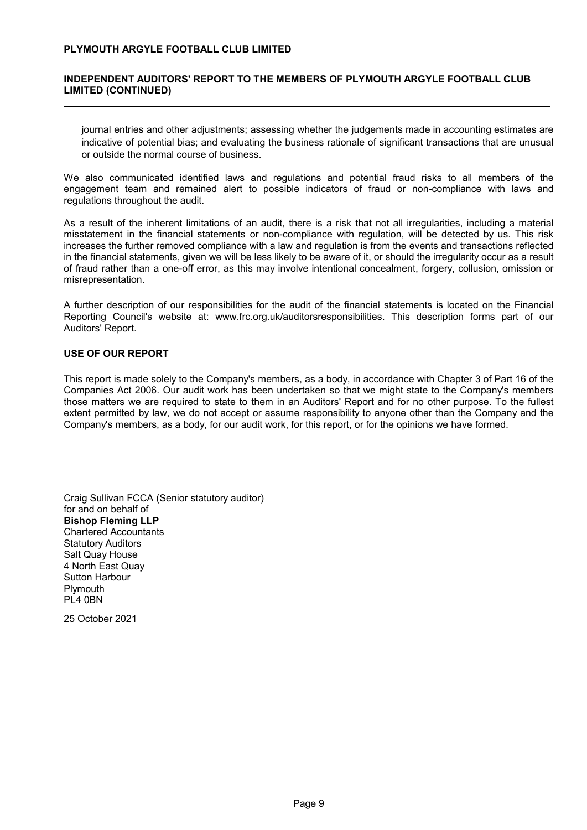## **INDEPENDENT AUDITORS' REPORT TO THE MEMBERS OF PLYMOUTH ARGYLE FOOTBALL CLUB LIMITED (CONTINUED)**

journal entries and other adjustments; assessing whether the judgements made in accounting estimates are indicative of potential bias; and evaluating the business rationale of significant transactions that are unusual or outside the normal course of business.

We also communicated identified laws and regulations and potential fraud risks to all members of the engagement team and remained alert to possible indicators of fraud or non-compliance with laws and regulations throughout the audit.

As a result of the inherent limitations of an audit, there is a risk that not all irregularities, including a material misstatement in the financial statements or non-compliance with regulation, will be detected by us. This risk increases the further removed compliance with a law and regulation is from the events and transactions reflected in the financial statements, given we will be less likely to be aware of it, or should the irregularity occur as a result of fraud rather than a one-off error, as this may involve intentional concealment, forgery, collusion, omission or misrepresentation.

A further description of our responsibilities for the audit of the financial statements is located on the Financial Reporting Council's website at: www.frc.org.uk/auditorsresponsibilities. This description forms part of our Auditors' Report.

#### **USE OF OUR REPORT**

This report is made solely to the Company's members, as a body, in accordance with Chapter 3 of Part 16 of the Companies Act 2006. Our audit work has been undertaken so that we might state to the Company's members those matters we are required to state to them in an Auditors' Report and for no other purpose. To the fullest extent permitted by law, we do not accept or assume responsibility to anyone other than the Company and the Company's members, as a body, for our audit work, for this report, or for the opinions we have formed.

Craig Sullivan FCCA (Senior statutory auditor) for and on behalf of **Bishop Fleming LLP** Chartered Accountants Statutory Auditors Salt Quay House 4 North East Quay Sutton Harbour **Plymouth** PL4 0BN

25 October 2021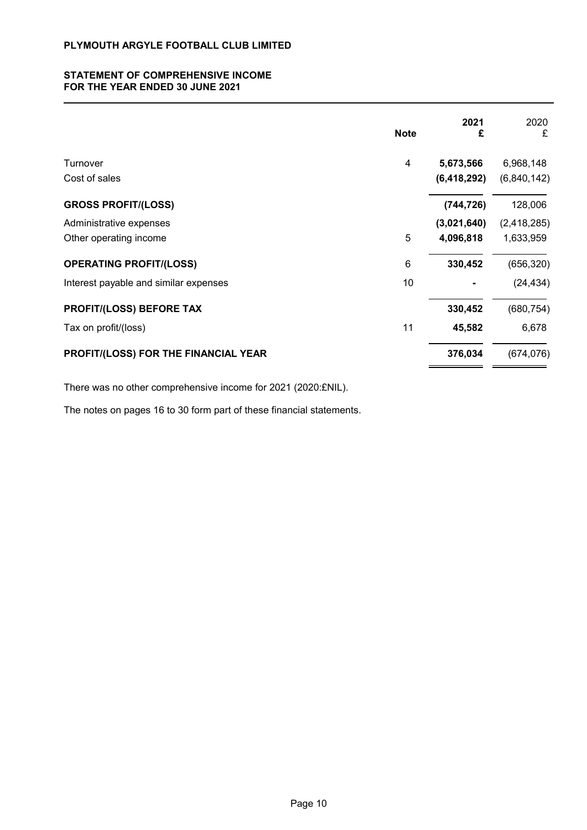## **STATEMENT OF COMPREHENSIVE INCOME FOR THE YEAR ENDED 30 JUNE 2021**

|                                       | <b>Note</b> | 2021<br>£     | 2020<br>£   |
|---------------------------------------|-------------|---------------|-------------|
| Turnover                              | 4           | 5,673,566     | 6,968,148   |
| Cost of sales                         |             | (6, 418, 292) | (6,840,142) |
| <b>GROSS PROFIT/(LOSS)</b>            |             | (744, 726)    | 128,006     |
| Administrative expenses               |             | (3,021,640)   | (2,418,285) |
| Other operating income                | 5           | 4,096,818     | 1,633,959   |
| <b>OPERATING PROFIT/(LOSS)</b>        | 6           | 330,452       | (656, 320)  |
| Interest payable and similar expenses | 10          |               | (24, 434)   |
| <b>PROFIT/(LOSS) BEFORE TAX</b>       |             | 330,452       | (680, 754)  |
| Tax on profit/(loss)                  | 11          | 45,582        | 6,678       |
| PROFIT/(LOSS) FOR THE FINANCIAL YEAR  |             | 376,034       | (674, 076)  |

There was no other comprehensive income for 2021 (2020:£NIL).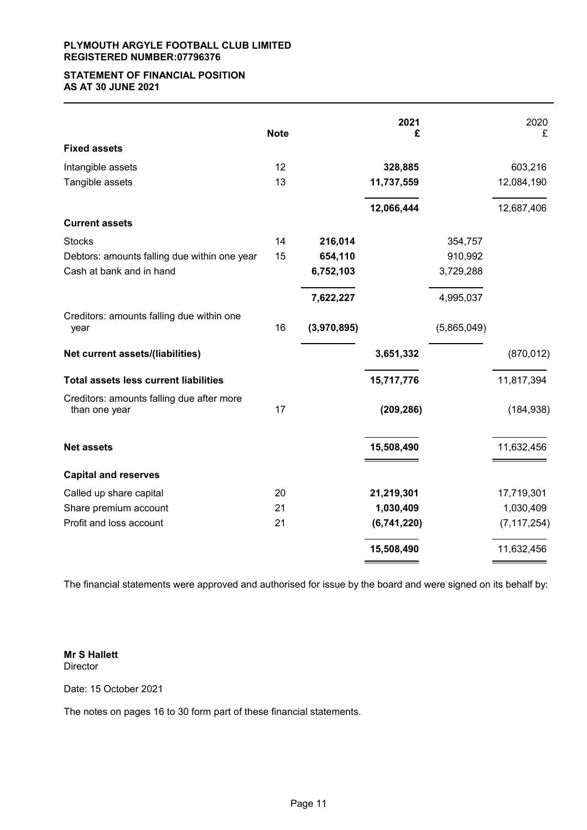## **PLYMOUTH ARGYLE FOOTBALL CLUB LIMITED REGISTERED NUMBER:07796376**

## **STATEMENT OF FINANCIAL POSITION AS AT 30 JUNE 2021**

| <b>Note</b> |             | 2021<br>£   |             | 2020<br>£     |
|-------------|-------------|-------------|-------------|---------------|
|             |             |             |             |               |
| 12          |             | 328,885     |             | 603,216       |
| 13          |             | 11,737,559  |             | 12,084,190    |
|             |             | 12,066,444  |             | 12,687,406    |
|             |             |             |             |               |
| 14          | 216,014     |             | 354,757     |               |
| 15          | 654,110     |             | 910,992     |               |
|             | 6,752,103   |             | 3,729,288   |               |
|             | 7,622,227   |             | 4,995,037   |               |
| 16          | (3,970,895) |             | (5,865,049) |               |
|             |             | 3,651,332   |             | (870, 012)    |
|             |             | 15,717,776  |             | 11,817,394    |
| 17          |             | (209, 286)  |             | (184, 938)    |
|             |             | 15,508,490  |             | 11,632,456    |
|             |             |             |             |               |
| 20          |             | 21,219,301  |             | 17,719,301    |
| 21          |             | 1,030,409   |             | 1,030,409     |
| 21          |             | (6,741,220) |             | (7, 117, 254) |
|             |             | 15,508,490  |             | 11,632,456    |
|             |             |             |             |               |

The financial statements were approved and authorised for issue by the board and were signed on its behalf by:

**Mr S Hallett** Director

Date: 15 October 2021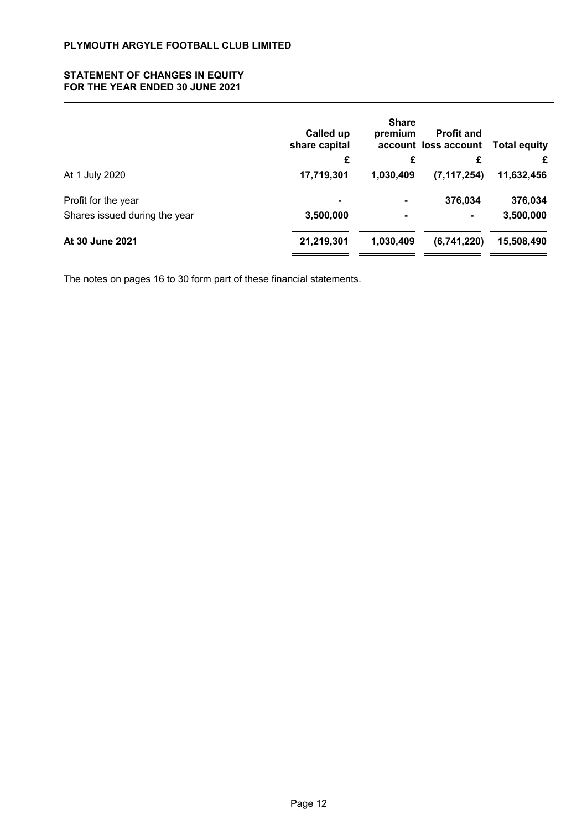## **STATEMENT OF CHANGES IN EQUITY FOR THE YEAR ENDED 30 JUNE 2021**

|                                                      | Called up<br>share capital<br>£ | <b>Share</b><br>premium<br>£ | <b>Profit and</b><br>account loss account<br>£ | <b>Total equity</b><br>£ |
|------------------------------------------------------|---------------------------------|------------------------------|------------------------------------------------|--------------------------|
| At 1 July 2020                                       | 17,719,301                      | 1,030,409                    | (7, 117, 254)                                  | 11,632,456               |
| Profit for the year<br>Shares issued during the year | $\blacksquare$<br>3,500,000     | ۰<br>۰                       | 376,034<br>$\blacksquare$                      | 376,034<br>3,500,000     |
| At 30 June 2021                                      | 21,219,301                      | 1,030,409                    | (6,741,220)                                    | 15,508,490               |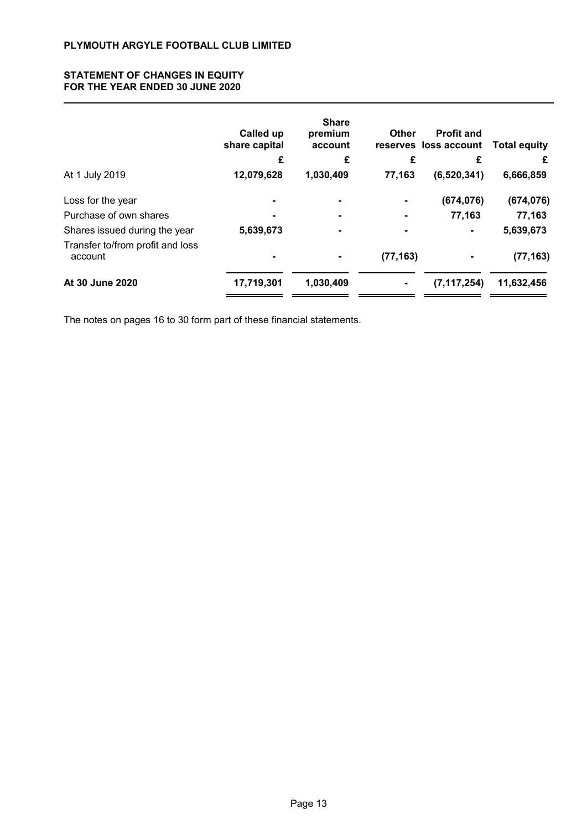## **STATEMENT OF CHANGES IN EQUITY FOR THE YEAR ENDED 30 JUNE 2020**

|                                             | Called up<br>share capital | <b>Share</b><br>premium<br>account | Other     | <b>Profit and</b><br>reserves loss account | <b>Total equity</b> |
|---------------------------------------------|----------------------------|------------------------------------|-----------|--------------------------------------------|---------------------|
|                                             | £                          | £                                  | £         | £                                          | £                   |
| At 1 July 2019                              | 12,079,628                 | 1,030,409                          | 77,163    | (6,520,341)                                | 6,666,859           |
| Loss for the year                           |                            |                                    |           | (674, 076)                                 | (674, 076)          |
| Purchase of own shares                      |                            | $\blacksquare$                     |           | 77,163                                     | 77,163              |
| Shares issued during the year               | 5,639,673                  | $\blacksquare$                     | ۰         |                                            | 5,639,673           |
| Transfer to/from profit and loss<br>account |                            |                                    | (77, 163) |                                            | (77, 163)           |
| At 30 June 2020                             | 17,719,301                 | 1,030,409                          |           | (7, 117, 254)                              | 11,632,456          |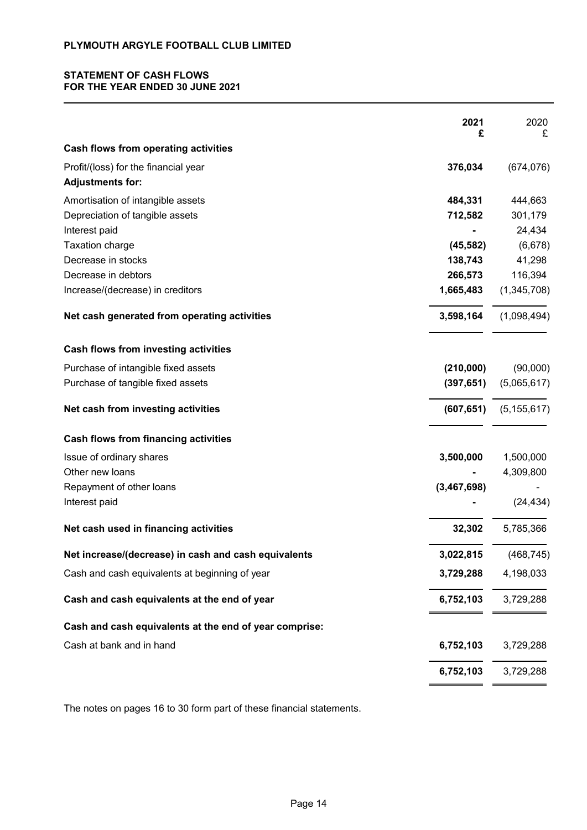## **STATEMENT OF CASH FLOWS FOR THE YEAR ENDED 30 JUNE 2021**

|                                                        | 2021<br>£   | 2020<br>£                    |
|--------------------------------------------------------|-------------|------------------------------|
| <b>Cash flows from operating activities</b>            |             |                              |
| Profit/(loss) for the financial year                   | 376,034     | (674, 076)                   |
| <b>Adjustments for:</b>                                |             |                              |
| Amortisation of intangible assets                      | 484,331     | 444,663                      |
| Depreciation of tangible assets                        | 712,582     | 301,179                      |
| Interest paid                                          |             | 24,434                       |
| Taxation charge                                        | (45, 582)   | (6,678)                      |
| Decrease in stocks                                     | 138,743     | 41,298                       |
| Decrease in debtors                                    | 266,573     | 116,394                      |
| Increase/(decrease) in creditors                       | 1,665,483   | (1, 345, 708)                |
| Net cash generated from operating activities           |             | 3,598,164 (1,098,494)        |
| Cash flows from investing activities                   |             |                              |
| Purchase of intangible fixed assets                    | (210,000)   | (90,000)                     |
| Purchase of tangible fixed assets                      | (397, 651)  | (5,065,617)                  |
| Net cash from investing activities                     |             | $(607, 651)$ $(5, 155, 617)$ |
| <b>Cash flows from financing activities</b>            |             |                              |
| Issue of ordinary shares                               | 3,500,000   | 1,500,000                    |
| Other new loans                                        |             | 4,309,800                    |
| Repayment of other loans                               | (3,467,698) |                              |
| Interest paid                                          |             | (24, 434)                    |
| Net cash used in financing activities                  | 32,302      | 5,785,366                    |
| Net increase/(decrease) in cash and cash equivalents   | 3,022,815   | (468, 745)                   |
| Cash and cash equivalents at beginning of year         | 3,729,288   | 4,198,033                    |
| Cash and cash equivalents at the end of year           | 6,752,103   | 3,729,288                    |
| Cash and cash equivalents at the end of year comprise: |             |                              |
| Cash at bank and in hand                               | 6,752,103   | 3,729,288                    |
|                                                        | 6,752,103   | 3,729,288                    |
|                                                        |             |                              |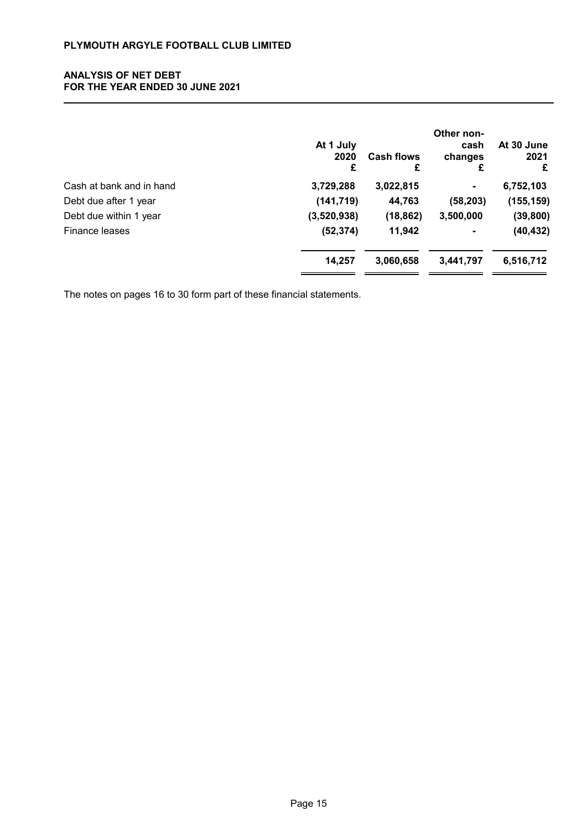# **ANALYSIS OF NET DEBT FOR THE YEAR ENDED 30 JUNE 2021**

|                          | At 1 July<br>2020<br>£ | <b>Cash flows</b><br>£ | Other non-<br>cash<br>changes<br>£ | At 30 June<br>2021<br>£ |
|--------------------------|------------------------|------------------------|------------------------------------|-------------------------|
| Cash at bank and in hand | 3,729,288              | 3,022,815              | $\blacksquare$                     | 6,752,103               |
| Debt due after 1 year    | (141, 719)             | 44,763                 | (58, 203)                          | (155, 159)              |
| Debt due within 1 year   | (3,520,938)            | (18, 862)              | 3,500,000                          | (39, 800)               |
| Finance leases           | (52, 374)              | 11,942                 | $\blacksquare$                     | (40, 432)               |
|                          | 14,257                 | 3,060,658              | 3,441,797                          | 6,516,712               |
|                          |                        |                        |                                    |                         |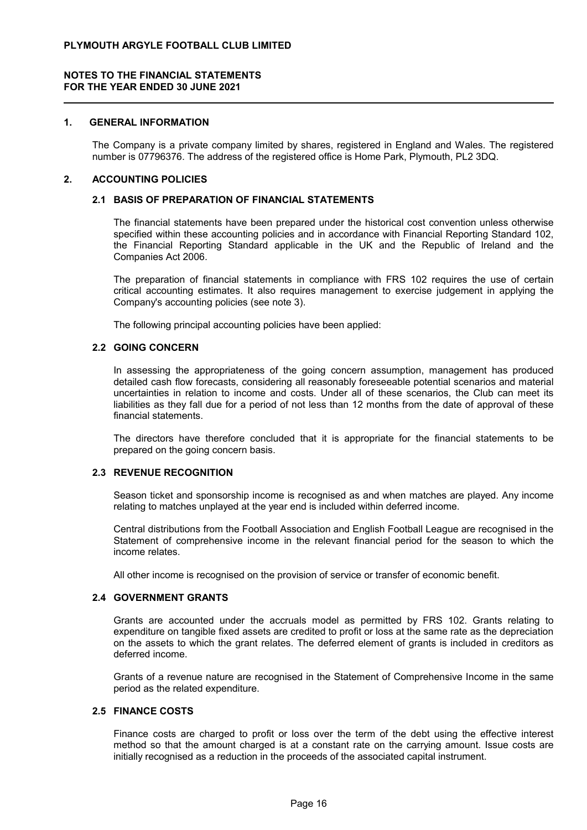#### **NOTES TO THE FINANCIAL STATEMENTS FOR THE YEAR ENDED 30 JUNE 2021**

#### **1. GENERAL INFORMATION**

The Company is a private company limited by shares, registered in England and Wales. The registered number is 07796376. The address of the registered office is Home Park, Plymouth, PL2 3DQ.

## **2. ACCOUNTING POLICIES**

#### **2.1 BASIS OF PREPARATION OF FINANCIAL STATEMENTS**

The financial statements have been prepared under the historical cost convention unless otherwise specified within these accounting policies and in accordance with Financial Reporting Standard 102, the Financial Reporting Standard applicable in the UK and the Republic of Ireland and the Companies Act 2006.

The preparation of financial statements in compliance with FRS 102 requires the use of certain critical accounting estimates. It also requires management to exercise judgement in applying the Company's accounting policies (see note 3).

The following principal accounting policies have been applied:

#### **2.2 GOING CONCERN**

In assessing the appropriateness of the going concern assumption, management has produced detailed cash flow forecasts, considering all reasonably foreseeable potential scenarios and material uncertainties in relation to income and costs. Under all of these scenarios, the Club can meet its liabilities as they fall due for a period of not less than 12 months from the date of approval of these financial statements.

The directors have therefore concluded that it is appropriate for the financial statements to be prepared on the going concern basis.

## **2.3 REVENUE RECOGNITION**

Season ticket and sponsorship income is recognised as and when matches are played. Any income relating to matches unplayed at the year end is included within deferred income.

Central distributions from the Football Association and English Football League are recognised in the Statement of comprehensive income in the relevant financial period for the season to which the income relates.

All other income is recognised on the provision of service or transfer of economic benefit.

#### **2.4 GOVERNMENT GRANTS**

Grants are accounted under the accruals model as permitted by FRS 102. Grants relating to expenditure on tangible fixed assets are credited to profit or loss at the same rate as the depreciation on the assets to which the grant relates. The deferred element of grants is included in creditors as deferred income.

Grants of a revenue nature are recognised in the Statement of Comprehensive Income in the same period as the related expenditure.

#### **2.5 FINANCE COSTS**

Finance costs are charged to profit or loss over the term of the debt using the effective interest method so that the amount charged is at a constant rate on the carrying amount. Issue costs are initially recognised as a reduction in the proceeds of the associated capital instrument.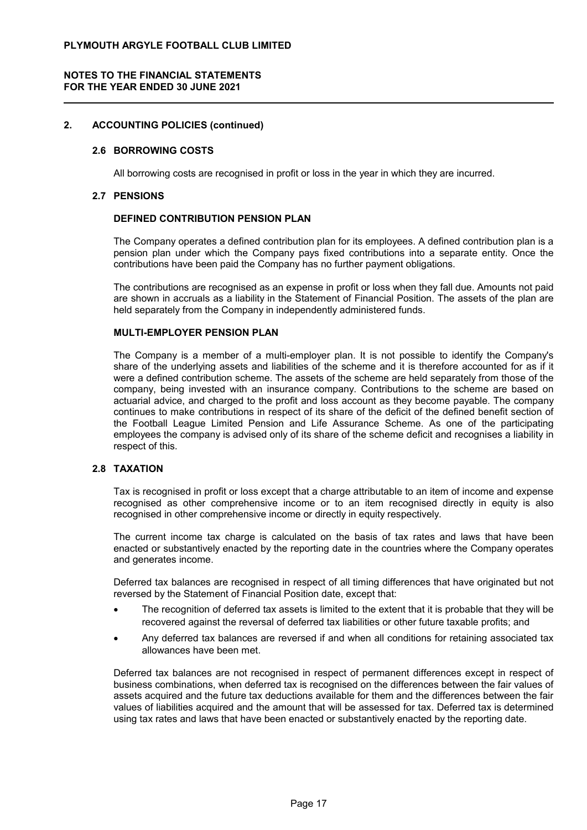#### **NOTES TO THE FINANCIAL STATEMENTS FOR THE YEAR ENDED 30 JUNE 2021**

#### **2. ACCOUNTING POLICIES (continued)**

#### **2.6 BORROWING COSTS**

All borrowing costs are recognised in profit or loss in the year in which they are incurred.

#### **2.7 PENSIONS**

#### **DEFINED CONTRIBUTION PENSION PLAN**

The Company operates a defined contribution plan for its employees. A defined contribution plan is a pension plan under which the Company pays fixed contributions into a separate entity. Once the contributions have been paid the Company has no further payment obligations.

The contributions are recognised as an expense in profit or loss when they fall due. Amounts not paid are shown in accruals as a liability in the Statement of Financial Position. The assets of the plan are held separately from the Company in independently administered funds.

#### **MULTI-EMPLOYER PENSION PLAN**

The Company is a member of a multi-employer plan. It is not possible to identify the Company's share of the underlying assets and liabilities of the scheme and it is therefore accounted for as if it were a defined contribution scheme. The assets of the scheme are held separately from those of the company, being invested with an insurance company. Contributions to the scheme are based on actuarial advice, and charged to the profit and loss account as they become payable. The company continues to make contributions in respect of its share of the deficit of the defined benefit section of the Football League Limited Pension and Life Assurance Scheme. As one of the participating employees the company is advised only of its share of the scheme deficit and recognises a liability in respect of this.

## **2.8 TAXATION**

Tax is recognised in profit or loss except that a charge attributable to an item of income and expense recognised as other comprehensive income or to an item recognised directly in equity is also recognised in other comprehensive income or directly in equity respectively.

The current income tax charge is calculated on the basis of tax rates and laws that have been enacted or substantively enacted by the reporting date in the countries where the Company operates and generates income.

Deferred tax balances are recognised in respect of all timing differences that have originated but not reversed by the Statement of Financial Position date, except that:

- The recognition of deferred tax assets is limited to the extent that it is probable that they will be recovered against the reversal of deferred tax liabilities or other future taxable profits; and
- Any deferred tax balances are reversed if and when all conditions for retaining associated tax allowances have been met.

Deferred tax balances are not recognised in respect of permanent differences except in respect of business combinations, when deferred tax is recognised on the differences between the fair values of assets acquired and the future tax deductions available for them and the differences between the fair values of liabilities acquired and the amount that will be assessed for tax. Deferred tax is determined using tax rates and laws that have been enacted or substantively enacted by the reporting date.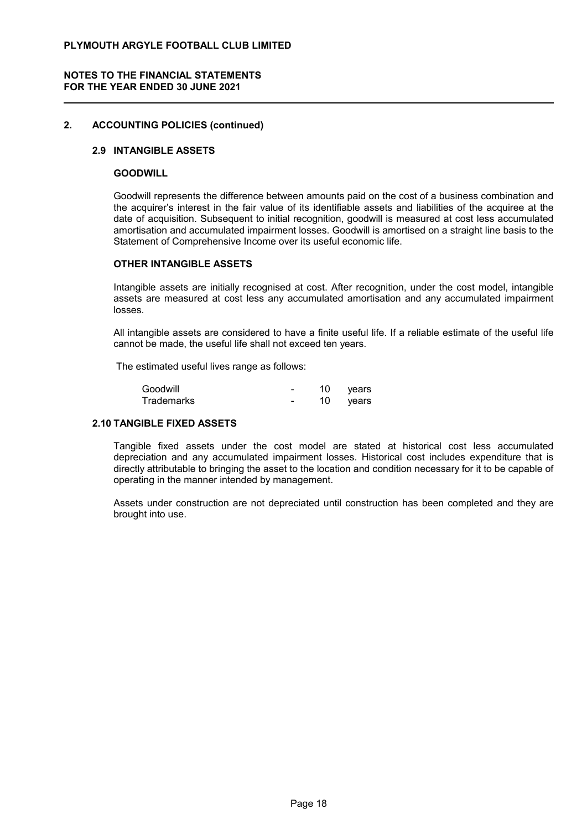#### **NOTES TO THE FINANCIAL STATEMENTS FOR THE YEAR ENDED 30 JUNE 2021**

#### **2. ACCOUNTING POLICIES (continued)**

#### **2.9 INTANGIBLE ASSETS**

#### **GOODWILL**

Goodwill represents the difference between amounts paid on the cost of a business combination and the acquirer's interest in the fair value of its identifiable assets and liabilities of the acquiree at the date of acquisition. Subsequent to initial recognition, goodwill is measured at cost less accumulated amortisation and accumulated impairment losses. Goodwill is amortised on a straight line basis to the Statement of Comprehensive Income over its useful economic life.

#### **OTHER INTANGIBLE ASSETS**

Intangible assets are initially recognised at cost. After recognition, under the cost model, intangible assets are measured at cost less any accumulated amortisation and any accumulated impairment losses.

All intangible assets are considered to have a finite useful life. If a reliable estimate of the useful life cannot be made, the useful life shall not exceed ten years.

The estimated useful lives range as follows:

| Goodwill   | - | 10 | years |
|------------|---|----|-------|
| Trademarks | - | 10 | years |

#### **2.10 TANGIBLE FIXED ASSETS**

Tangible fixed assets under the cost model are stated at historical cost less accumulated depreciation and any accumulated impairment losses. Historical cost includes expenditure that is directly attributable to bringing the asset to the location and condition necessary for it to be capable of operating in the manner intended by management.

Assets under construction are not depreciated until construction has been completed and they are brought into use.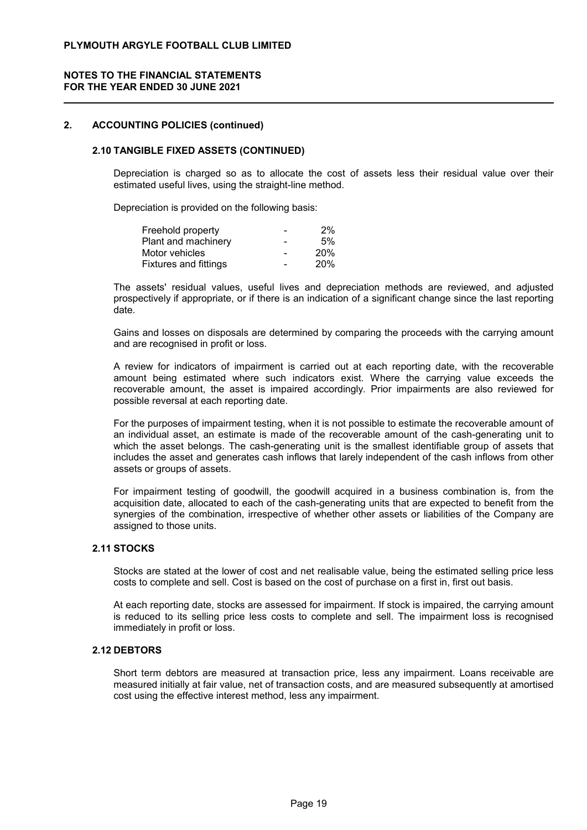#### **NOTES TO THE FINANCIAL STATEMENTS FOR THE YEAR ENDED 30 JUNE 2021**

#### **2. ACCOUNTING POLICIES (continued)**

## **2.10 TANGIBLE FIXED ASSETS (CONTINUED)**

Depreciation is charged so as to allocate the cost of assets less their residual value over their estimated useful lives, using the straight-line method.

Depreciation is provided on the following basis:

| Freehold property            | $\overline{\phantom{0}}$ | 2%         |
|------------------------------|--------------------------|------------|
| Plant and machinery          | $\blacksquare$           | 5%         |
| Motor vehicles               | $\overline{\phantom{0}}$ | <b>20%</b> |
| <b>Fixtures and fittings</b> |                          | <b>20%</b> |

The assets' residual values, useful lives and depreciation methods are reviewed, and adjusted prospectively if appropriate, or if there is an indication of a significant change since the last reporting date.

Gains and losses on disposals are determined by comparing the proceeds with the carrying amount and are recognised in profit or loss.

A review for indicators of impairment is carried out at each reporting date, with the recoverable amount being estimated where such indicators exist. Where the carrying value exceeds the recoverable amount, the asset is impaired accordingly. Prior impairments are also reviewed for possible reversal at each reporting date.

For the purposes of impairment testing, when it is not possible to estimate the recoverable amount of an individual asset, an estimate is made of the recoverable amount of the cash-generating unit to which the asset belongs. The cash-generating unit is the smallest identifiable group of assets that includes the asset and generates cash inflows that larely independent of the cash inflows from other assets or groups of assets.

For impairment testing of goodwill, the goodwill acquired in a business combination is, from the acquisition date, allocated to each of the cash-generating units that are expected to benefit from the synergies of the combination, irrespective of whether other assets or liabilities of the Company are assigned to those units.

#### **2.11 STOCKS**

Stocks are stated at the lower of cost and net realisable value, being the estimated selling price less costs to complete and sell. Cost is based on the cost of purchase on a first in, first out basis.

At each reporting date, stocks are assessed for impairment. If stock is impaired, the carrying amount is reduced to its selling price less costs to complete and sell. The impairment loss is recognised immediately in profit or loss.

#### **2.12 DEBTORS**

Short term debtors are measured at transaction price, less any impairment. Loans receivable are measured initially at fair value, net of transaction costs, and are measured subsequently at amortised cost using the effective interest method, less any impairment.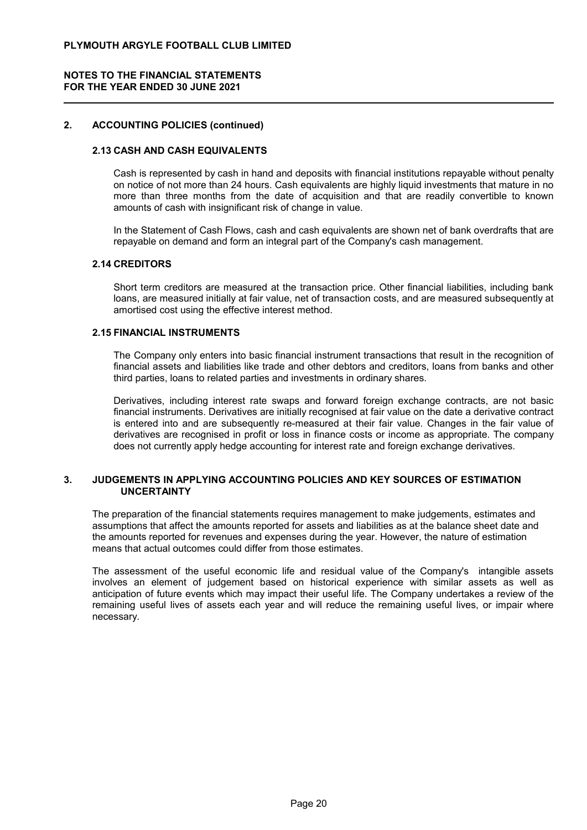#### **NOTES TO THE FINANCIAL STATEMENTS FOR THE YEAR ENDED 30 JUNE 2021**

## **2. ACCOUNTING POLICIES (continued)**

#### **2.13 CASH AND CASH EQUIVALENTS**

Cash is represented by cash in hand and deposits with financial institutions repayable without penalty on notice of not more than 24 hours. Cash equivalents are highly liquid investments that mature in no more than three months from the date of acquisition and that are readily convertible to known amounts of cash with insignificant risk of change in value.

In the Statement of Cash Flows, cash and cash equivalents are shown net of bank overdrafts that are repayable on demand and form an integral part of the Company's cash management.

#### **2.14 CREDITORS**

Short term creditors are measured at the transaction price. Other financial liabilities, including bank loans, are measured initially at fair value, net of transaction costs, and are measured subsequently at amortised cost using the effective interest method.

#### **2.15 FINANCIAL INSTRUMENTS**

The Company only enters into basic financial instrument transactions that result in the recognition of financial assets and liabilities like trade and other debtors and creditors, loans from banks and other third parties, loans to related parties and investments in ordinary shares.

Derivatives, including interest rate swaps and forward foreign exchange contracts, are not basic financial instruments. Derivatives are initially recognised at fair value on the date a derivative contract is entered into and are subsequently re-measured at their fair value. Changes in the fair value of derivatives are recognised in profit or loss in finance costs or income as appropriate. The company does not currently apply hedge accounting for interest rate and foreign exchange derivatives.

## **3. JUDGEMENTS IN APPLYING ACCOUNTING POLICIES AND KEY SOURCES OF ESTIMATION UNCERTAINTY**

The preparation of the financial statements requires management to make judgements, estimates and assumptions that affect the amounts reported for assets and liabilities as at the balance sheet date and the amounts reported for revenues and expenses during the year. However, the nature of estimation means that actual outcomes could differ from those estimates.

The assessment of the useful economic life and residual value of the Company's intangible assets involves an element of judgement based on historical experience with similar assets as well as anticipation of future events which may impact their useful life. The Company undertakes a review of the remaining useful lives of assets each year and will reduce the remaining useful lives, or impair where necessary.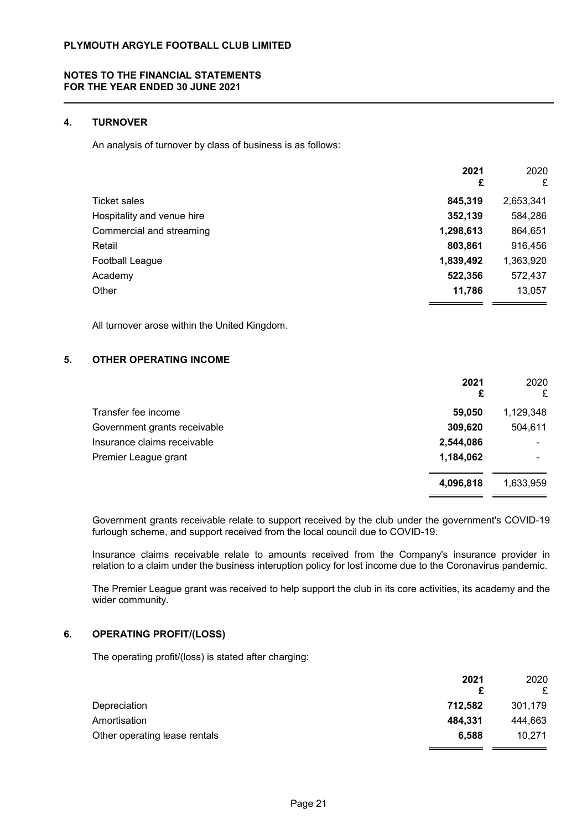## **NOTES TO THE FINANCIAL STATEMENTS FOR THE YEAR ENDED 30 JUNE 2021**

## **4. TURNOVER**

An analysis of turnover by class of business is as follows:

|                            | 2021<br>£ | 2020<br>£ |
|----------------------------|-----------|-----------|
| Ticket sales               | 845,319   | 2,653,341 |
| Hospitality and venue hire | 352,139   | 584,286   |
| Commercial and streaming   | 1,298,613 | 864,651   |
| Retail                     | 803,861   | 916,456   |
| <b>Football League</b>     | 1,839,492 | 1,363,920 |
| Academy                    | 522,356   | 572,437   |
| Other                      | 11,786    | 13,057    |

All turnover arose within the United Kingdom.

## **5. OTHER OPERATING INCOME**

|                              | 2021<br>£ | 2020<br>£ |
|------------------------------|-----------|-----------|
| Transfer fee income          | 59,050    | 1,129,348 |
| Government grants receivable | 309,620   | 504,611   |
| Insurance claims receivable  | 2,544,086 |           |
| Premier League grant         | 1,184,062 |           |
|                              | 4,096,818 | 1,633,959 |

Government grants receivable relate to support received by the club under the government's COVID-19 furlough scheme, and support received from the local council due to COVID-19.

Insurance claims receivable relate to amounts received from the Company's insurance provider in relation to a claim under the business interuption policy for lost income due to the Coronavirus pandemic.

The Premier League grant was received to help support the club in its core activities, its academy and the wider community.

## **6. OPERATING PROFIT/(LOSS)**

The operating profit/(loss) is stated after charging:

| 2021    | 2020    |
|---------|---------|
|         | £       |
| 712.582 | 301,179 |
| 484.331 | 444,663 |
| 6.588   | 10.271  |
|         |         |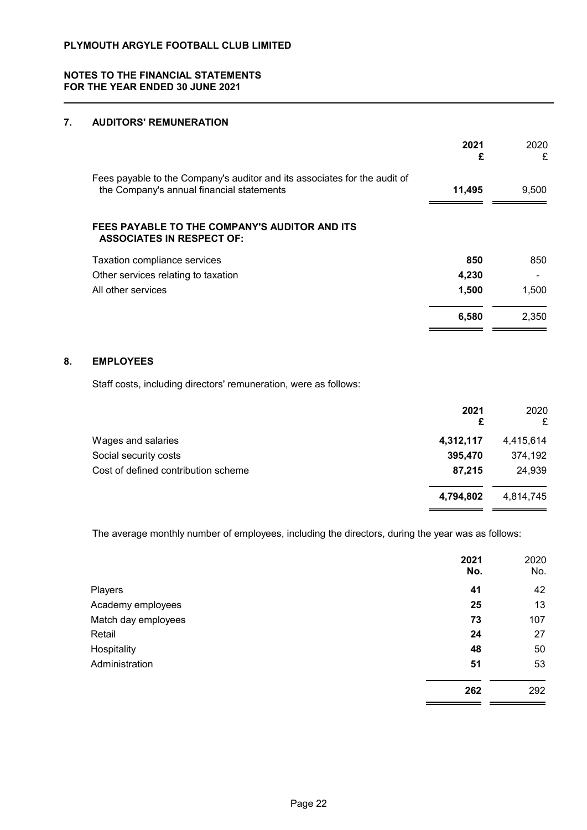#### **NOTES TO THE FINANCIAL STATEMENTS FOR THE YEAR ENDED 30 JUNE 2021**

# **7. AUDITORS' REMUNERATION**

|                                                                                                                        | 2021<br>£ | 2020<br>£ |
|------------------------------------------------------------------------------------------------------------------------|-----------|-----------|
| Fees payable to the Company's auditor and its associates for the audit of<br>the Company's annual financial statements | 11,495    | 9,500     |
| FEES PAYABLE TO THE COMPANY'S AUDITOR AND ITS<br><b>ASSOCIATES IN RESPECT OF:</b>                                      |           |           |
| Taxation compliance services                                                                                           | 850       | 850       |
| Other services relating to taxation                                                                                    | 4,230     |           |
| All other services                                                                                                     | 1,500     | 1,500     |
|                                                                                                                        | 6,580     | 2,350     |

# **8. EMPLOYEES**

Staff costs, including directors' remuneration, were as follows:

|                                     | 2021<br>£ | 2020<br>£ |
|-------------------------------------|-----------|-----------|
| Wages and salaries                  | 4,312,117 | 4,415,614 |
| Social security costs               | 395,470   | 374,192   |
| Cost of defined contribution scheme | 87.215    | 24,939    |
|                                     | 4,794,802 | 4.814.745 |

The average monthly number of employees, including the directors, during the year was as follows:

| 2021<br>No. | 2020<br>No. |
|-------------|-------------|
| 41          | 42          |
| 25          | 13          |
| 73          | 107         |
| 24          | 27          |
| 48          | 50          |
| 51          | 53          |
| 262         | 292         |
|             |             |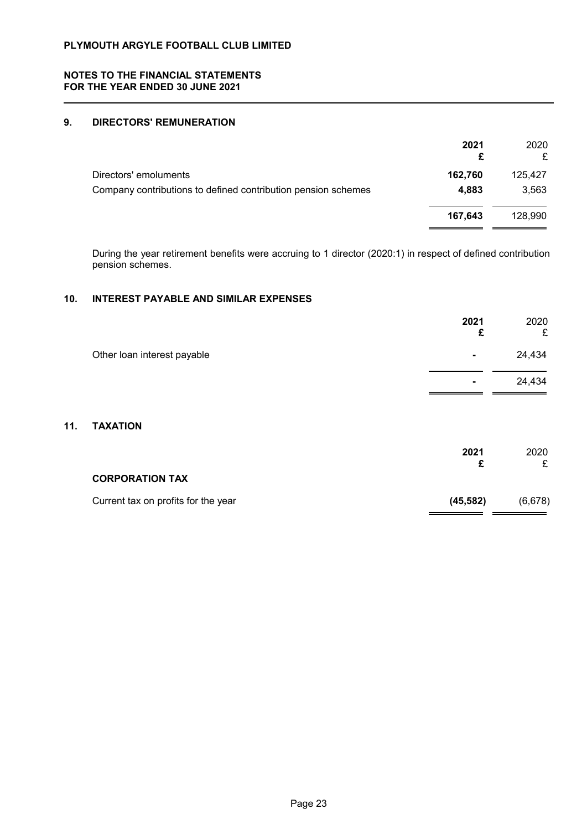#### **NOTES TO THE FINANCIAL STATEMENTS FOR THE YEAR ENDED 30 JUNE 2021**

## **9. DIRECTORS' REMUNERATION**

 $11.$ 

|                                                               | 2021    | 2020<br>£ |
|---------------------------------------------------------------|---------|-----------|
| Directors' emoluments                                         | 162,760 | 125,427   |
| Company contributions to defined contribution pension schemes | 4.883   | 3,563     |
|                                                               | 167.643 | 128.990   |

During the year retirement benefits were accruing to 1 director (2020:1) in respect of defined contribution pension schemes.

# **10. INTEREST PAYABLE AND SIMILAR EXPENSES**

|                                     | 2021<br>£      | 2020<br>£ |
|-------------------------------------|----------------|-----------|
| Other loan interest payable         | $\blacksquare$ | 24,434    |
|                                     |                | 24,434    |
| <b>TAXATION</b>                     |                |           |
|                                     | 2021<br>£      | 2020<br>£ |
| <b>CORPORATION TAX</b>              |                |           |
| Current tax on profits for the year | (45, 582)      | (6,678)   |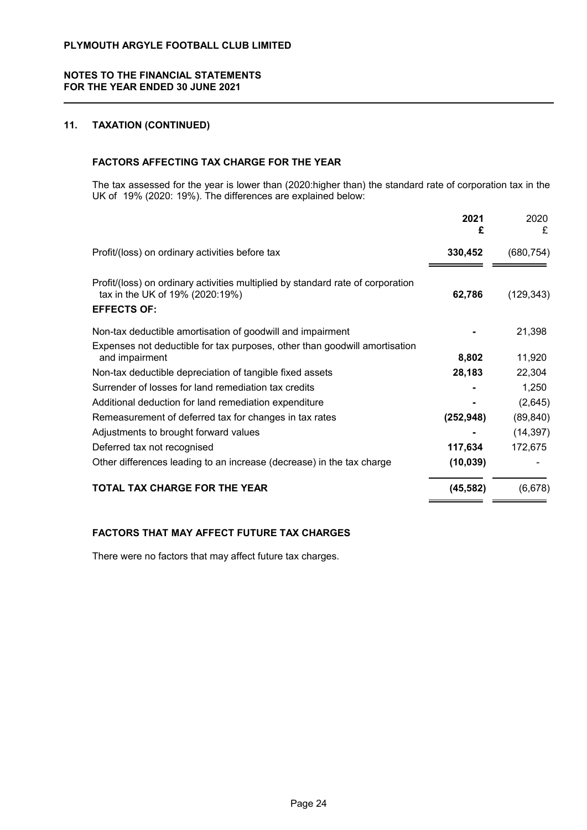#### **NOTES TO THE FINANCIAL STATEMENTS FOR THE YEAR ENDED 30 JUNE 2021**

# **11. TAXATION (CONTINUED)**

## **FACTORS AFFECTING TAX CHARGE FOR THE YEAR**

The tax assessed for the year is lower than (2020:higher than) the standard rate of corporation tax in the UK of 19% (2020: 19%). The differences are explained below:

|                                                                                                                                          | 2021<br>£  | 2020<br>£  |
|------------------------------------------------------------------------------------------------------------------------------------------|------------|------------|
| Profit/(loss) on ordinary activities before tax                                                                                          | 330,452    | (680, 754) |
| Profit/(loss) on ordinary activities multiplied by standard rate of corporation<br>tax in the UK of 19% (2020:19%)<br><b>EFFECTS OF:</b> | 62,786     | (129, 343) |
| Non-tax deductible amortisation of goodwill and impairment                                                                               |            | 21,398     |
| Expenses not deductible for tax purposes, other than goodwill amortisation<br>and impairment                                             | 8,802      | 11,920     |
| Non-tax deductible depreciation of tangible fixed assets                                                                                 | 28,183     | 22,304     |
| Surrender of losses for land remediation tax credits                                                                                     |            | 1,250      |
| Additional deduction for land remediation expenditure                                                                                    |            | (2,645)    |
| Remeasurement of deferred tax for changes in tax rates                                                                                   | (252, 948) | (89, 840)  |
| Adjustments to brought forward values                                                                                                    |            | (14, 397)  |
| Deferred tax not recognised                                                                                                              | 117,634    | 172,675    |
| Other differences leading to an increase (decrease) in the tax charge                                                                    | (10, 039)  |            |
| <b>TOTAL TAX CHARGE FOR THE YEAR</b>                                                                                                     | (45, 582)  | (6, 678)   |

## **FACTORS THAT MAY AFFECT FUTURE TAX CHARGES**

There were no factors that may affect future tax charges.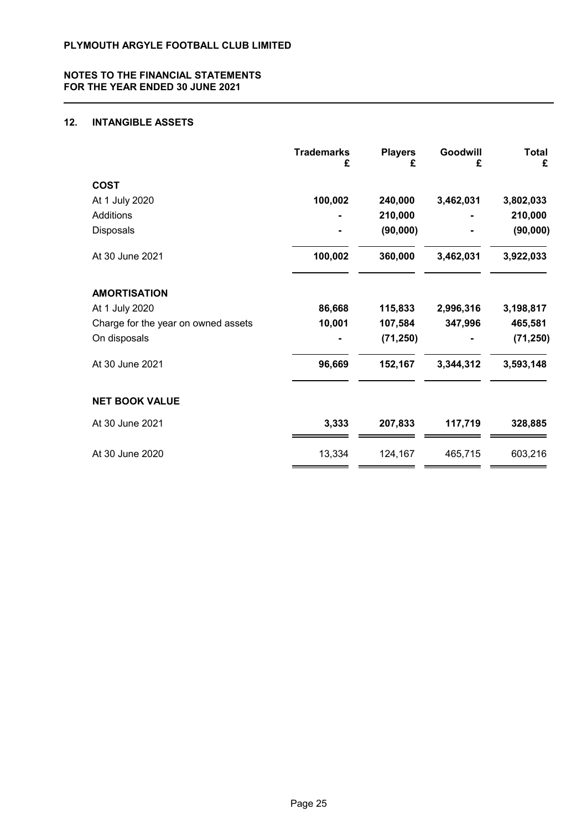## **NOTES TO THE FINANCIAL STATEMENTS FOR THE YEAR ENDED 30 JUNE 2021**

## **12. INTANGIBLE ASSETS**

|                                     | <b>Trademarks</b><br>£ | <b>Players</b><br>£ | Goodwill<br>£ | Total<br>£ |
|-------------------------------------|------------------------|---------------------|---------------|------------|
| <b>COST</b>                         |                        |                     |               |            |
| At 1 July 2020                      | 100,002                | 240,000             | 3,462,031     | 3,802,033  |
| Additions                           |                        | 210,000             |               | 210,000    |
| Disposals                           |                        | (90,000)            |               | (90,000)   |
| At 30 June 2021                     | 100,002                | 360,000             | 3,462,031     | 3,922,033  |
| <b>AMORTISATION</b>                 |                        |                     |               |            |
| At 1 July 2020                      | 86,668                 | 115,833             | 2,996,316     | 3,198,817  |
| Charge for the year on owned assets | 10,001                 | 107,584             | 347,996       | 465,581    |
| On disposals                        |                        | (71, 250)           |               | (71, 250)  |
| At 30 June 2021                     | 96,669                 | 152,167             | 3,344,312     | 3,593,148  |
| <b>NET BOOK VALUE</b>               |                        |                     |               |            |
| At 30 June 2021                     | 3,333                  | 207,833             | 117,719       | 328,885    |
| At 30 June 2020                     | 13,334                 | 124,167             | 465,715       | 603,216    |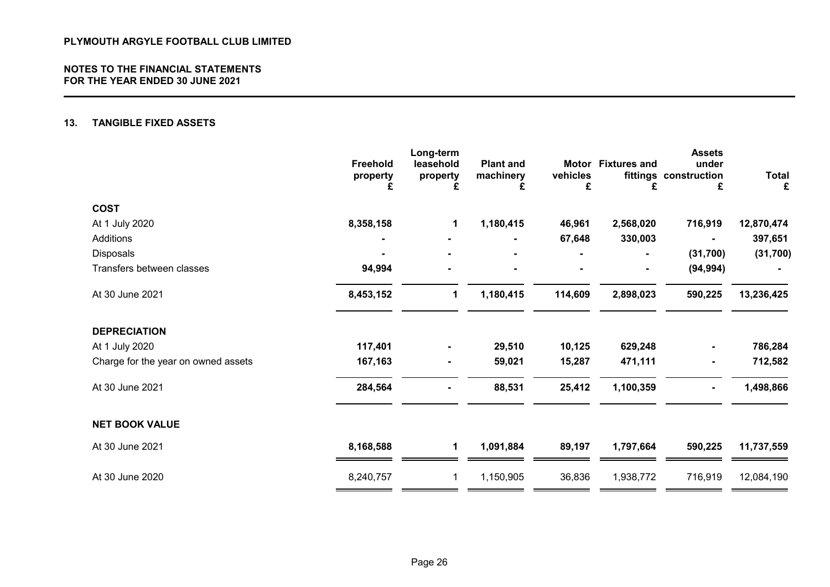## **NOTES TO THE FINANCIAL STATEMENTS FOR THE YEAR ENDED 30 JUNE 2021**

# **13. TANGIBLE FIXED ASSETS**

|           | Long-term            |                       |                               |           | <b>Assets</b>      |                                |
|-----------|----------------------|-----------------------|-------------------------------|-----------|--------------------|--------------------------------|
|           |                      |                       |                               |           |                    | <b>Total</b>                   |
| £         | £                    | £                     | £                             | £         | £                  | £                              |
|           |                      |                       |                               |           |                    |                                |
| 8,358,158 | $\mathbf 1$          | 1,180,415             | 46,961                        | 2,568,020 | 716,919            | 12,870,474                     |
|           |                      |                       | 67,648                        | 330,003   |                    | 397,651                        |
|           |                      |                       |                               |           | (31, 700)          | (31, 700)                      |
| 94,994    | Ξ.                   | $\blacksquare$        | $\blacksquare$                |           | (94, 994)          |                                |
| 8,453,152 | 1                    | 1,180,415             | 114,609                       | 2,898,023 | 590,225            | 13,236,425                     |
|           |                      |                       |                               |           |                    |                                |
| 117,401   | Ξ.                   | 29,510                | 10,125                        | 629,248   |                    | 786,284                        |
| 167,163   | Ξ.                   | 59,021                | 15,287                        | 471,111   |                    | 712,582                        |
| 284,564   | -                    | 88,531                | 25,412                        | 1,100,359 | $\blacksquare$     | 1,498,866                      |
|           |                      |                       |                               |           |                    |                                |
| 8,168,588 | 1                    | 1,091,884             | 89,197                        | 1,797,664 | 590,225            | 11,737,559                     |
| 8,240,757 | 1                    | 1,150,905             | 36,836                        | 1,938,772 | 716,919            | 12,084,190                     |
|           | Freehold<br>property | leasehold<br>property | <b>Plant and</b><br>machinery | vehicles  | Motor Fixtures and | under<br>fittings construction |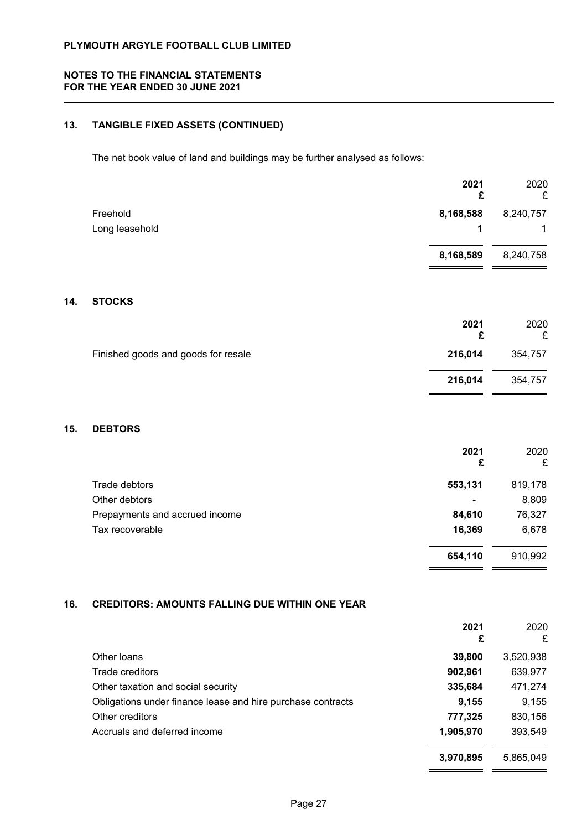## **NOTES TO THE FINANCIAL STATEMENTS FOR THE YEAR ENDED 30 JUNE 2021**

# **13. TANGIBLE FIXED ASSETS (CONTINUED)**

The net book value of land and buildings may be further analysed as follows:

|                                     | 2021<br>£ | 2020<br>£ |
|-------------------------------------|-----------|-----------|
| Freehold                            | 8,168,588 | 8,240,757 |
| Long leasehold                      |           | 1         |
|                                     | 8,168,589 | 8,240,758 |
| <b>STOCKS</b>                       |           |           |
|                                     | 2021<br>£ | 2020<br>£ |
| Finished goods and goods for resale | 216,014   | 354,757   |
|                                     | 216,014   | 354,757   |

 $\hspace{0.1cm}$   $\hspace{0.1cm}$   $\hspace{0.1cm}$   $\hspace{0.1cm}$   $\hspace{0.1cm}$   $\hspace{0.1cm}$   $\hspace{0.1cm}$   $\hspace{0.1cm}$   $\hspace{0.1cm}$   $\hspace{0.1cm}$   $\hspace{0.1cm}$   $\hspace{0.1cm}$   $\hspace{0.1cm}$   $\hspace{0.1cm}$   $\hspace{0.1cm}$   $\hspace{0.1cm}$   $\hspace{0.1cm}$   $\hspace{0.1cm}$   $\hspace{$ 

#### **15. DEBTORS**

**14. STOCKS**

|                                | 2021<br>£      | 2020<br>£ |
|--------------------------------|----------------|-----------|
| Trade debtors                  | 553,131        | 819,178   |
| Other debtors                  | $\blacksquare$ | 8,809     |
| Prepayments and accrued income | 84,610         | 76,327    |
| Tax recoverable                | 16,369         | 6,678     |
|                                | 654,110        | 910,992   |
|                                |                |           |

# **16. CREDITORS: AMOUNTS FALLING DUE WITHIN ONE YEAR**

|                                                             | 2021<br>£ | 2020<br>£ |
|-------------------------------------------------------------|-----------|-----------|
| Other loans                                                 | 39,800    | 3,520,938 |
| Trade creditors                                             | 902,961   | 639,977   |
| Other taxation and social security                          | 335,684   | 471,274   |
| Obligations under finance lease and hire purchase contracts | 9,155     | 9,155     |
| Other creditors                                             | 777,325   | 830,156   |
| Accruals and deferred income                                | 1,905,970 | 393,549   |
|                                                             | 3,970,895 | 5,865,049 |
|                                                             |           |           |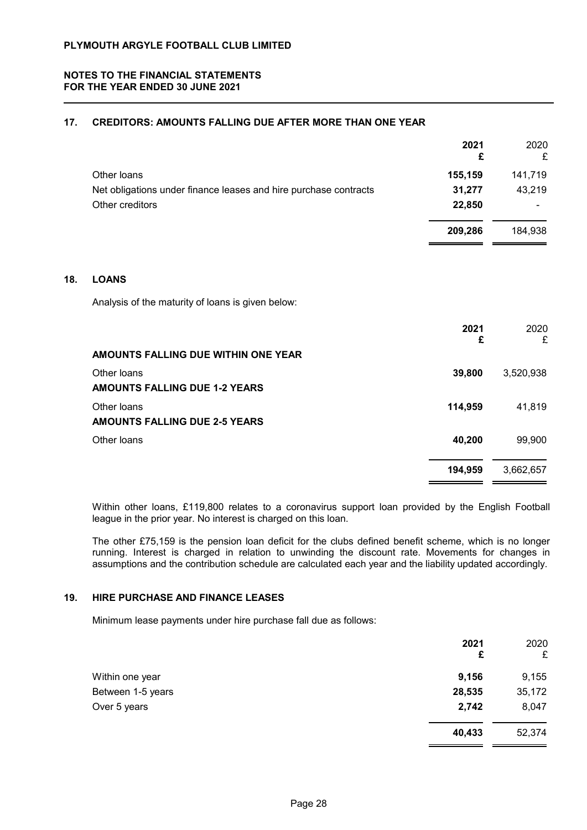#### **NOTES TO THE FINANCIAL STATEMENTS FOR THE YEAR ENDED 30 JUNE 2021**

## **17. CREDITORS: AMOUNTS FALLING DUE AFTER MORE THAN ONE YEAR**

|                                                                  | 2021<br>£ | 2020<br>£ |
|------------------------------------------------------------------|-----------|-----------|
| Other loans                                                      | 155,159   | 141,719   |
| Net obligations under finance leases and hire purchase contracts | 31,277    | 43,219    |
| Other creditors                                                  | 22,850    |           |
|                                                                  | 209,286   | 184,938   |

#### **18. LOANS**

Analysis of the maturity of loans is given below:

| 2021                                                           | 2020<br>£<br>£ |
|----------------------------------------------------------------|----------------|
| AMOUNTS FALLING DUE WITHIN ONE YEAR                            |                |
| Other loans<br>39,800<br><b>AMOUNTS FALLING DUE 1-2 YEARS</b>  | 3,520,938      |
| 114,959<br>Other loans<br><b>AMOUNTS FALLING DUE 2-5 YEARS</b> | 41,819         |
| Other loans<br>40,200                                          | 99,900         |
| 194,959                                                        | 3,662,657      |

Within other loans, £119,800 relates to a coronavirus support loan provided by the English Football league in the prior year. No interest is charged on this loan.

The other £75,159 is the pension loan deficit for the clubs defined benefit scheme, which is no longer running. Interest is charged in relation to unwinding the discount rate. Movements for changes in assumptions and the contribution schedule are calculated each year and the liability updated accordingly.

## **19. HIRE PURCHASE AND FINANCE LEASES**

Minimum lease payments under hire purchase fall due as follows:

|                   | 2021<br>£ | 2020<br>£ |
|-------------------|-----------|-----------|
| Within one year   | 9,156     | 9,155     |
| Between 1-5 years | 28,535    | 35,172    |
| Over 5 years      | 2,742     | 8,047     |
|                   | 40,433    | 52,374    |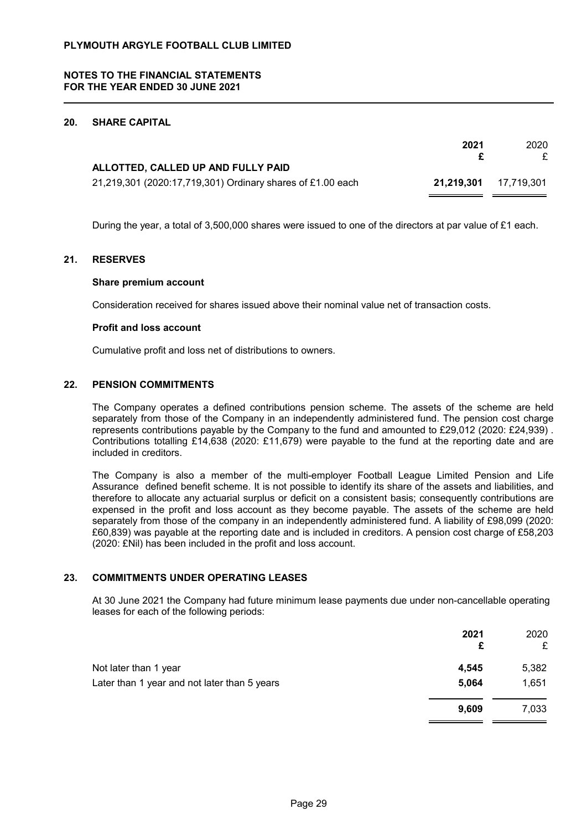## **NOTES TO THE FINANCIAL STATEMENTS FOR THE YEAR ENDED 30 JUNE 2021**

## **20. SHARE CAPITAL**

|                                                            | 2021                         | 2020 |
|------------------------------------------------------------|------------------------------|------|
|                                                            |                              |      |
| ALLOTTED, CALLED UP AND FULLY PAID                         |                              |      |
| 21,219,301 (2020:17,719,301) Ordinary shares of £1.00 each | <b>21.219.301</b> 17.719.301 |      |

During the year, a total of 3,500,000 shares were issued to one of the directors at par value of £1 each.

## **21. RESERVES**

#### **Share premium account**

Consideration received for shares issued above their nominal value net of transaction costs.

#### **Profit and loss account**

Cumulative profit and loss net of distributions to owners.

## **22. PENSION COMMITMENTS**

The Company operates a defined contributions pension scheme. The assets of the scheme are held separately from those of the Company in an independently administered fund. The pension cost charge represents contributions payable by the Company to the fund and amounted to £29,012 (2020: £24,939) . Contributions totalling £14,638 (2020: £11,679) were payable to the fund at the reporting date and are included in creditors.

The Company is also a member of the multi-employer Football League Limited Pension and Life Assurance defined benefit scheme. It is not possible to identify its share of the assets and liabilities, and therefore to allocate any actuarial surplus or deficit on a consistent basis; consequently contributions are expensed in the profit and loss account as they become payable. The assets of the scheme are held separately from those of the company in an independently administered fund. A liability of £98,099 (2020: £60,839) was payable at the reporting date and is included in creditors. A pension cost charge of £58,203 (2020: £Nil) has been included in the profit and loss account.

## **23. COMMITMENTS UNDER OPERATING LEASES**

At 30 June 2021 the Company had future minimum lease payments due under non-cancellable operating leases for each of the following periods:

|                                              | 2021<br>£ | 2020<br>£ |
|----------------------------------------------|-----------|-----------|
| Not later than 1 year                        | 4,545     | 5,382     |
| Later than 1 year and not later than 5 years | 5,064     | 1,651     |
|                                              | 9,609     | 7,033     |